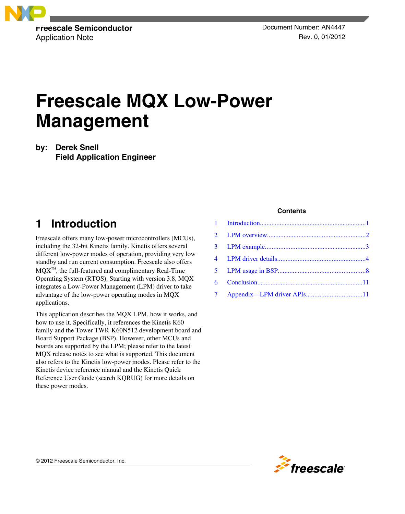

Application Note **Rev. 0, 01/2012** 

# **Freescale MQX Low-Power Management**

### **by: Derek Snell Field Application Engineer**

### **1 Introduction**

Freescale offers many low-power microcontrollers (MCUs), including the 32-bit Kinetis family. Kinetis offers several different low-power modes of operation, providing very low standby and run current consumption. Freescale also offers MQX™, the full-featured and complimentary Real-Time Operating System (RTOS). Starting with version 3.8, MQX integrates a Low-Power Management (LPM) driver to take advantage of the low-power operating modes in MQX applications.

This application describes the MQX LPM, how it works, and how to use it. Specifically, it references the Kinetis K60 family and the Tower TWR-K60N512 development board and Board Support Package (BSP). However, other MCUs and boards are supported by the LPM; please refer to the latest MQX release notes to see what is supported. This document also refers to the Kinetis low-power modes. Please refer to the Kinetis device reference manual and the Kinetis Quick Reference User Guide (search KQRUG) for more details on these power modes.

#### **Contents**

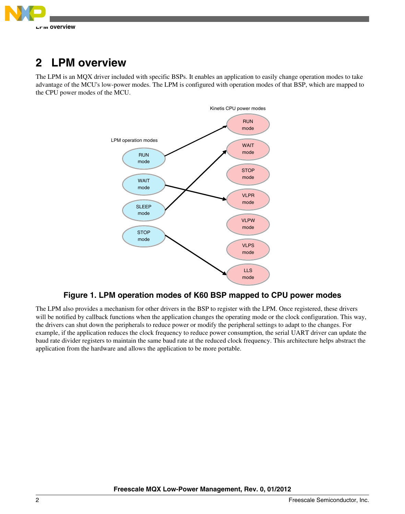<span id="page-1-0"></span>

### **2 LPM overview**

The LPM is an MQX driver included with specific BSPs. It enables an application to easily change operation modes to take advantage of the MCU's low-power modes. The LPM is configured with operation modes of that BSP, which are mapped to the CPU power modes of the MCU.



### **Figure 1. LPM operation modes of K60 BSP mapped to CPU power modes**

The LPM also provides a mechanism for other drivers in the BSP to register with the LPM. Once registered, these drivers will be notified by callback functions when the application changes the operating mode or the clock configuration. This way, the drivers can shut down the peripherals to reduce power or modify the peripheral settings to adapt to the changes. For example, if the application reduces the clock frequency to reduce power consumption, the serial UART driver can update the baud rate divider registers to maintain the same baud rate at the reduced clock frequency. This architecture helps abstract the application from the hardware and allows the application to be more portable.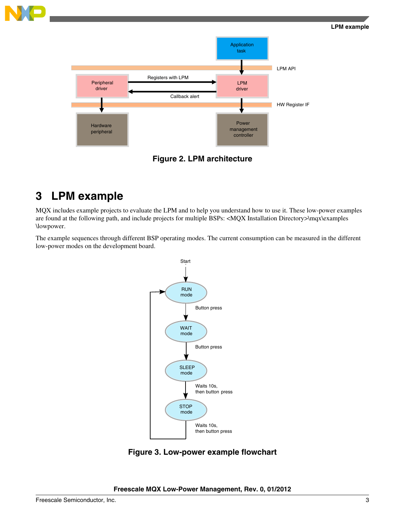#### **LPM example**

<span id="page-2-0"></span>

**Figure 2. LPM architecture**

### **3 LPM example**

MQX includes example projects to evaluate the LPM and to help you understand how to use it. These low-power examples are found at the following path, and include projects for multiple BSPs: <MQX Installation Directory>\mqx\examples \lowpower.

The example sequences through different BSP operating modes. The current consumption can be measured in the different low-power modes on the development board.



**Figure 3. Low-power example flowchart**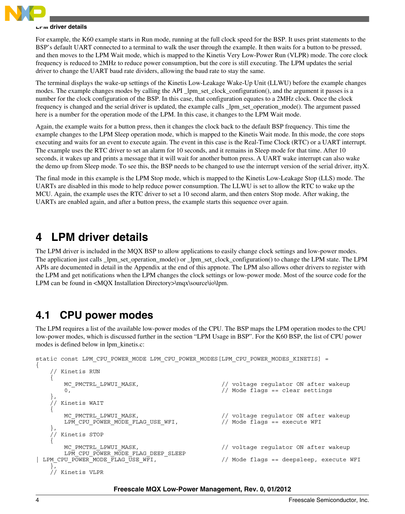<span id="page-3-0"></span>

#### **LPM driver details**

For example, the K60 example starts in Run mode, running at the full clock speed for the BSP. It uses print statements to the BSP's default UART connected to a terminal to walk the user through the example. It then waits for a button to be pressed, and then moves to the LPM Wait mode, which is mapped to the Kinetis Very Low-Power Run (VLPR) mode. The core clock frequency is reduced to 2MHz to reduce power consumption, but the core is still executing. The LPM updates the serial driver to change the UART baud rate dividers, allowing the baud rate to stay the same.

The terminal displays the wake-up settings of the Kinetis Low-Leakage Wake-Up Unit (LLWU) before the example changes modes. The example changes modes by calling the API \_lpm\_set\_clock\_configuration(), and the argument it passes is a number for the clock configuration of the BSP. In this case, that configuration equates to a 2MHz clock. Once the clock frequency is changed and the serial driver is updated, the example calls \_lpm\_set\_operation\_mode(). The argument passed here is a number for the operation mode of the LPM. In this case, it changes to the LPM Wait mode.

Again, the example waits for a button press, then it changes the clock back to the default BSP frequency. This time the example changes to the LPM Sleep operation mode, which is mapped to the Kinetis Wait mode. In this mode, the core stops executing and waits for an event to execute again. The event in this case is the Real-Time Clock (RTC) or a UART interrupt. The example uses the RTC driver to set an alarm for 10 seconds, and it remains in Sleep mode for that time. After 10 seconds, it wakes up and prints a message that it will wait for another button press. A UART wake interrupt can also wake the demo up from Sleep mode. To see this, the BSP needs to be changed to use the interrupt version of the serial driver, ittyX.

The final mode in this example is the LPM Stop mode, which is mapped to the Kinetis Low-Leakage Stop (LLS) mode. The UARTs are disabled in this mode to help reduce power consumption. The LLWU is set to allow the RTC to wake up the MCU. Again, the example uses the RTC driver to set a 10 second alarm, and then enters Stop mode. After waking, the UARTs are enabled again, and after a button press, the example starts this sequence over again.

### **4 LPM driver details**

The LPM driver is included in the MQX BSP to allow applications to easily change clock settings and low-power modes. The application just calls \_lpm\_set\_operation\_mode() or \_lpm\_set\_clock\_configuration() to change the LPM state. The LPM APIs are documented in detail in the Appendix at the end of this appnote. The LPM also allows other drivers to register with the LPM and get notifications when the LPM changes the clock settings or low-power mode. Most of the source code for the LPM can be found in <MQX Installation Directory>\mqx\source\io\lpm.

### **4.1 CPU power modes**

The LPM requires a list of the available low-power modes of the CPU. The BSP maps the LPM operation modes to the CPU low-power modes, which is discussed further in the section "LPM Usage in BSP". For the K60 BSP, the list of CPU power modes is defined below in lpm\_kinetis.c:

```
static const LPM_CPU_POWER_MODE LPM_CPU_POWER_MODES[LPM_CPU_POWER_MODES_KINETIS] =
```

```
{
       Kinetis RUN
     {
        MC_PMCTRL_LPWUI_MASK, \frac{1}{2} // voltage regulator ON after wakeup
         0, \overline{\phantom{a}} \phantom{a} \overline{\phantom{a}} \phantom{a} // Mode flags == clear settings
 },
       Kinetis WAIT
\left\{\begin{array}{ccc} \end{array}\right\} MC_PMCTRL_LPWUI_MASK, // voltage regulator ON after wakeup
        LPM_CPU_POWER_MODE_FLAG_USE_WFI, // Mode flags == execute WFI
 },
       Kinetis STOP
\left\{\begin{array}{ccc} \end{array}\right\}MC_PMCTRL_LPWUI_MASK, \frac{1}{2} // voltage regulator ON after wakeup
 LPM_CPU_POWER_MODE_FLAG_DEEP_SLEEP<br>LPM_CPU_POWER_MODE_FLAG_USE_WFI,
                                                            // Mode flags == deepsleep, execute WFI
     },
     // Kinetis VLPR
```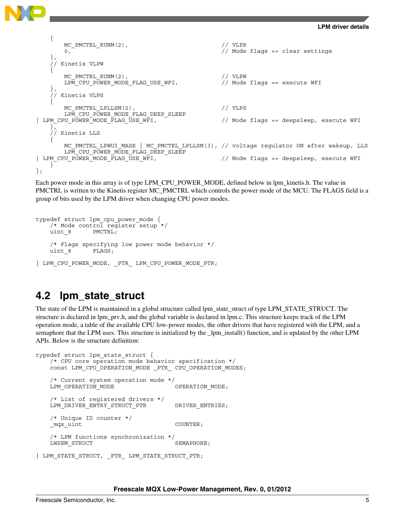

```
\{MC_PMCTRL_RUNM(2), // VLPR
        0, 0. Community of the settlement of \ell Mode flags == clear settings
 },
       Kinetis VLPW
\{MC_PMCTRL_RUNM(2),<br>
LPM CPU POWER MODE FLAG USE WFI, \frac{1}{\sqrt{2}} Mode flags == execute WFI
        LPM CPU POWER MODE FLAG USE WFI,
 },
      Kinetis VLPS
\{MC_PMCTRL_LPLLSM(2), \sqrt{U} VLPS
LPM_CPU_POWER_MODE_FLAG_DEEP_SLEEP<br>| LPM_CPU_POWER_MODE_FLAG_USE_WFI,
                                                       // Mode flags == deepsleep, execute WFI
     },
     // Kinetis LLS
\{ MC_PMCTRL_LPWUI_MASK | MC_PMCTRL_LPLLSM(3), // voltage regulator ON after wakeup, LLS
LPM_CPU_POWER_MODE_FLAG_DEEP_SLEEP<br>| LPM_CPU_POWER_MODE_FLAG_USE_WFI,
                                                       // Mode flags == deepsleep, execute WFI
     }
};
```
Each power mode in this array is of type LPM\_CPU\_POWER\_MODE, defined below in lpm\_kinetis.h. The value in PMCTRL is written to the Kinetis register MC\_PMCTRL which controls the power mode of the MCU. The FLAGS field is a group of bits used by the LPM driver when changing CPU power modes.

```
typedef struct lpm_cpu_power_mode {
    /* Mode control register setup */
   uint 8 PMCTRL;
    /* Flags specifying low power mode behavior */
   uint 8 FLAGS;
} LPM_CPU_POWER_MODE, _PTR_ LPM_CPU_POWER_MODE_PTR;
```
### **4.2 lpm\_state\_struct**

The state of the LPM is maintained in a global structure called lpm\_state\_struct of type LPM\_STATE\_STRUCT. The structure is declared in lpm\_prv.h, and the global variable is declared in lpm.c. This structure keeps track of the LPM operation mode, a table of the available CPU low-power modes, the other drivers that have registered with the LPM, and a semaphore that the LPM uses. This structure is initialized by the \_lpm\_install() function, and is updated by the other LPM APIs. Below is the structure definition:

```
typedef struct lpm_state_struct {
    /* CPU core operation mode behavior specification */
   const LPM_CPU_OPERATION_MODE _PTR_ CPU_OPERATION_MODES;
    /* Current system operation mode */
   LPM_OPERATION_MODE    QPERATION_MODE;
    /* List of registered drivers */
   LPM_DRIVER_ENTRY_STRUCT_PTR DRIVER_ENTRIES;
    /* Unique ID counter */
    _mqx_uint COUNTER;
    /* LPM functions synchronization */
   LWSEM_STRUCT SEMAPHORE;
} LPM_STATE_STRUCT, _PTR_ LPM_STATE_STRUCT_PTR;
```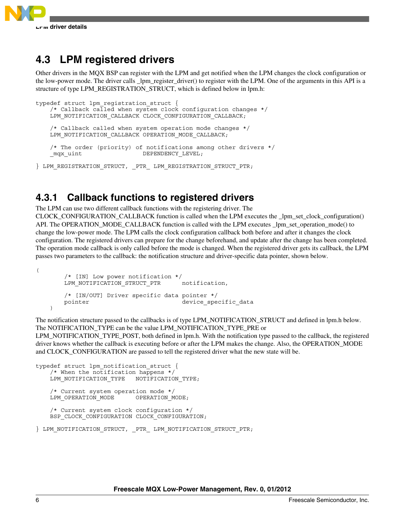

### **4.3 LPM registered drivers**

Other drivers in the MQX BSP can register with the LPM and get notified when the LPM changes the clock configuration or the low-power mode. The driver calls \_lpm\_register\_driver() to register with the LPM. One of the arguments in this API is a structure of type LPM\_REGISTRATION\_STRUCT, which is defined below in lpm.h:

```
typedef struct lpm_registration_struct {
    /* Callback called when system clock configuration changes */
    LPM_NOTIFICATION_CALLBACK CLOCK_CONFIGURATION_CALLBACK;
    /* Callback called when system operation mode changes */
   LPM_NOTIFICATION_CALLBACK OPERATION MODE_CALLBACK;
    /* The order (priority) of notifications among other drivers */
   mqx_uint DEPENDENCY_LEVEL;
```
} LPM REGISTRATION STRUCT, PTR LPM REGISTRATION STRUCT PTR;

### **4.3.1 Callback functions to registered drivers**

The LPM can use two different callback functions with the registering driver. The CLOCK\_CONFIGURATION\_CALLBACK function is called when the LPM executes the \_lpm\_set\_clock\_configuration() API. The OPERATION\_MODE\_CALLBACK function is called with the LPM executes \_lpm\_set\_operation\_mode() to change the low-power mode. The LPM calls the clock configuration callback both before and after it changes the clock configuration. The registered drivers can prepare for the change beforehand, and update after the change has been completed. The operation mode callback is only called before the mode is changed. When the registered driver gets its callback, the LPM passes two parameters to the callback: the notification structure and driver-specific data pointer, shown below.

```
 /* [IN] Low power notification */
   LPM_NOTIFICATION_STRUCT_PTR notification,
    /* [IN/OUT] Driver specific data pointer */
   pointer device_specific_data
\lambda
```
The notification structure passed to the callbacks is of type LPM\_NOTIFICATION\_STRUCT and defined in lpm.h below. The NOTIFICATION\_TYPE can be the value LPM\_NOTIFICATION\_TYPE\_PRE or

LPM\_NOTIFICATION\_TYPE\_POST, both defined in lpm.h. With the notification type passed to the callback, the registered driver knows whether the callback is executing before or after the LPM makes the change. Also, the OPERATION\_MODE and CLOCK\_CONFIGURATION are passed to tell the registered driver what the new state will be.

```
typedef struct lpm_notification_struct {
    /* When the notification happens */
   LPM_NOTIFICATION_TYPE __ NOTIFICATION_TYPE;
    /* Current system operation mode */
   LPM_OPERATION_MODE OPERATION_MODE;
    /* Current system clock configuration */
    BSP_CLOCK_CONFIGURATION CLOCK_CONFIGURATION;
```
(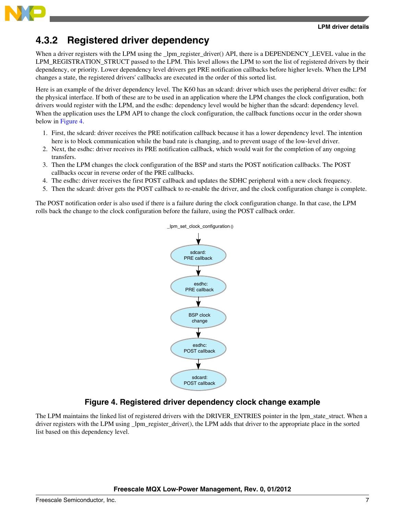

### **4.3.2 Registered driver dependency**

When a driver registers with the LPM using the \_lpm\_register\_driver() API, there is a DEPENDENCY\_LEVEL value in the LPM\_REGISTRATION\_STRUCT passed to the LPM. This level allows the LPM to sort the list of registered drivers by their dependency, or priority. Lower dependency level drivers get PRE notification callbacks before higher levels. When the LPM changes a state, the registered drivers' callbacks are executed in the order of this sorted list.

Here is an example of the driver dependency level. The K60 has an sdcard: driver which uses the peripheral driver esdhc: for the physical interface. If both of these are to be used in an application where the LPM changes the clock configuration, both drivers would register with the LPM, and the esdhc: dependency level would be higher than the sdcard: dependency level. When the application uses the LPM API to change the clock configuration, the callback functions occur in the order shown below in Figure 4.

- 1. First, the sdcard: driver receives the PRE notification callback because it has a lower dependency level. The intention here is to block communication while the baud rate is changing, and to prevent usage of the low-level driver.
- 2. Next, the esdhc: driver receives its PRE notification callback, which would wait for the completion of any ongoing transfers.
- 3. Then the LPM changes the clock configuration of the BSP and starts the POST notification callbacks. The POST callbacks occur in reverse order of the PRE callbacks.
- 4. The esdhc: driver receives the first POST callback and updates the SDHC peripheral with a new clock frequency.
- 5. Then the sdcard: driver gets the POST callback to re-enable the driver, and the clock configuration change is complete.

The POST notification order is also used if there is a failure during the clock configuration change. In that case, the LPM rolls back the change to the clock configuration before the failure, using the POST callback order.



### **Figure 4. Registered driver dependency clock change example**

The LPM maintains the linked list of registered drivers with the DRIVER\_ENTRIES pointer in the lpm\_state\_struct. When a driver registers with the LPM using \_lpm\_register\_driver(), the LPM adds that driver to the appropriate place in the sorted list based on this dependency level.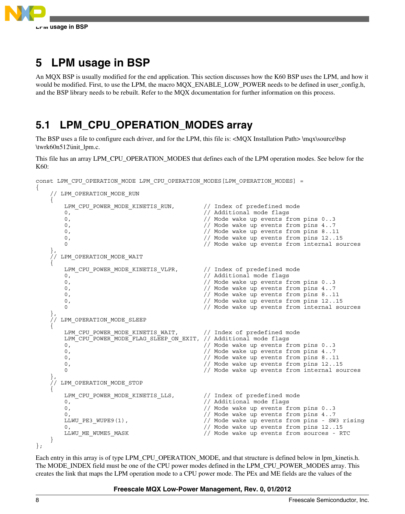<span id="page-7-0"></span>

{

## **5 LPM usage in BSP**

An MQX BSP is usually modified for the end application. This section discusses how the K60 BSP uses the LPM, and how it would be modified. First, to use the LPM, the macro MQX\_ENABLE\_LOW\_POWER needs to be defined in user\_config.h, and the BSP library needs to be rebuilt. Refer to the MQX documentation for further information on this process.

### **5.1 LPM\_CPU\_OPERATION\_MODES array**

The BSP uses a file to configure each driver, and for the LPM, this file is: <MQX Installation Path> \mqx\source\bsp \twrk60n512\init\_lpm.c.

This file has an array LPM\_CPU\_OPERATION\_MODES that defines each of the LPM operation modes. See below for the K60:

```
const LPM_CPU_OPERATION_MODE LPM_CPU_OPERATION_MODES[LPM_OPERATION_MODES] =
```

```
 // LPM_OPERATION_MODE_RUN
\{LPM_CPU_POWER_MODE_KINETIS_RUN, \qquad // Index of predefined mode
        0, - - - - / Additional mode flags
         0, // Mode wake up events from pins 0..3
                                                    // Mode wake up events from pins 4..7
        0, 0. Comparison of the state of the wake up events from pins 8..11
         0, 0. Comparison of the state of the Mode wake up events from pins 12..15<br>0 (1) Mode wake up events from internal so
                                                    // Mode wake up events from internal sources
 },
       LPM_OPERATION_MODE_WAIT
\{LPM_CPU_POWER_MODE_KINETIS_VLPR, // Index of predefined mode
         0, 0. Communication of the contract of the contract of the contract of the contract of the contract of the contract of the contract of the contract of the contract of the contract of the contract of the contract of the con
        0, 0. Comparison of the state of the Mode wake up events from pins 0..3<br>0. Comparison of the Mode wake up events from pins 4..7
                                                    // Mode wake up events from pins 4..7
         0, 0. Constant of the set of the value of \ell Mode wake up events from pins 8..11
          0, // Mode wake up events from pins 12..15
                                                    // Mode wake up events from internal sources
 },
       LPM_OPERATION_MODE_SLEEP
\{LPM_CPU_POWER_MODE_KINETIS_WAIT, // Index of predefined mode
        LPM_CPU_POWER_MODE_FLAG_SLEEP_ON_EXIT, // Additional mode flags
        0, 0.33 and 0.13 and 0.13 and 0.13 and 0.13 and 0.13 and 0.13 and 0.13 and 0.13 and 0.13 and 0.13 and 0.13 and 0.13 and 0.13 and 0.13 and 0.13 and 0.13 and 0.13 and 0.13 and 0.13 and 0.13 and 0.13 and 0.13 and 0.13 and 0.1
          0, // Mode wake up events from pins 4..7
        0, 0. Constant of the set of the value wake up events from pins 8..11
        0, 0. Comparison of the state of the wake up events from pins 12..15
         0 0 // Mode wake up events from internal sources
 },
       LPM_OPERATION_MODE_STOP
\{LPM_CPU_POWER_MODE_KINETIS_LLS, // Index of predefined mode 0.<br>0. // Additional mode flags
        0, \begin{array}{ccc} 0 & - & - & - \end{array} // Additional mode flags<br>0.
                                                    // Mode wake up events from pins 0..3
        0,<br>
LLWU PE3 WUPE9(1), \frac{1}{\frac{1}{100}} and \frac{1}{100} Mode wake up events from pins - SW
                                                    // Mode wake up events from pins - SW3 rising
        0, - - - \sqrt{300} Mode wake up events from pins 12..15
        LLWU ME_WUME5_MASK \frac{1}{\sqrt{M}} Mode wake up events from sources - RTC
     }
};
```
Each entry in this array is of type LPM\_CPU\_OPERATION\_MODE, and that structure is defined below in lpm\_kinetis.h. The MODE\_INDEX field must be one of the CPU power modes defined in the LPM\_CPU\_POWER\_MODES array. This creates the link that maps the LPM operation mode to a CPU power mode. The PEx and ME fields are the values of the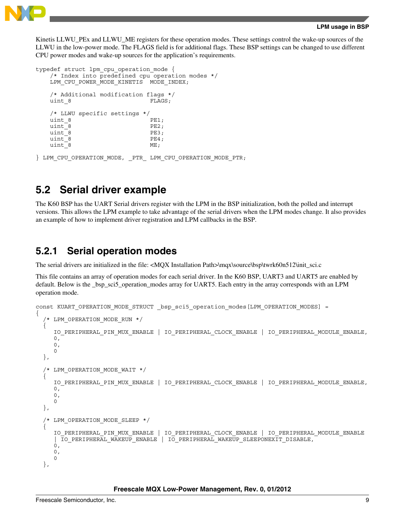

Kinetis LLWU\_PEx and LLWU\_ME registers for these operation modes. These settings control the wake-up sources of the LLWU in the low-power mode. The FLAGS field is for additional flags. These BSP settings can be changed to use different CPU power modes and wake-up sources for the application's requirements.

```
typedef struct lpm cpu operation mode {
   /* Index into predefined cpu operation modes */
  LPM_CPU_POWER_MODE_KINETIS _MODE_INDEX;
   /* Additional modification flags */
  uint 8 FLAGS;
   /* LLWU specific settings */
  uint 8 PE1;
  uint 8 PE2;
  uint^-8 PE3;
  uint 8 PE4;
  uint 8 ME;
} LPM CPU OPERATION MODE, PTR LPM CPU OPERATION MODE PTR;
```
### **5.2 Serial driver example**

The K60 BSP has the UART Serial drivers register with the LPM in the BSP initialization, both the polled and interrupt versions. This allows the LPM example to take advantage of the serial drivers when the LPM modes change. It also provides an example of how to implement driver registration and LPM callbacks in the BSP.

### **5.2.1 Serial operation modes**

The serial drivers are initialized in the file: <MQX Installation Path>\mqx\source\bsp\twrk60n512\init\_sci.c

This file contains an array of operation modes for each serial driver. In the K60 BSP, UART3 and UART5 are enabled by default. Below is the \_bsp\_sci5\_operation\_modes array for UART5. Each entry in the array corresponds with an LPM operation mode.

```
const KUART_OPERATION_MODE_STRUCT _bsp_sci5_operation_modes[LPM_OPERATION_MODES] =
{
    LPM_OPERATION_MODE_RUN */
\{ IO_PERIPHERAL_PIN_MUX_ENABLE | IO_PERIPHERAL_CLOCK_ENABLE | IO_PERIPHERAL_MODULE_ENABLE,
     0, 0,
      0
   },
   /* LPM_OPERATION_MODE_WAIT */
\{ IO_PERIPHERAL_PIN_MUX_ENABLE | IO_PERIPHERAL_CLOCK_ENABLE | IO_PERIPHERAL_MODULE_ENABLE,
     0,0,\Omega },
    LPM_OPERATION_MODE_SLEEP */
\{ IO_PERIPHERAL_PIN_MUX_ENABLE | IO_PERIPHERAL_CLOCK_ENABLE | IO_PERIPHERAL_MODULE_ENABLE 
      | IO_PERIPHERAL_WAKEUP_ENABLE | IO_PERIPHERAL_WAKEUP_SLEEPONEXIT_DISABLE,
     0\, ,
      0,
      0
   },
```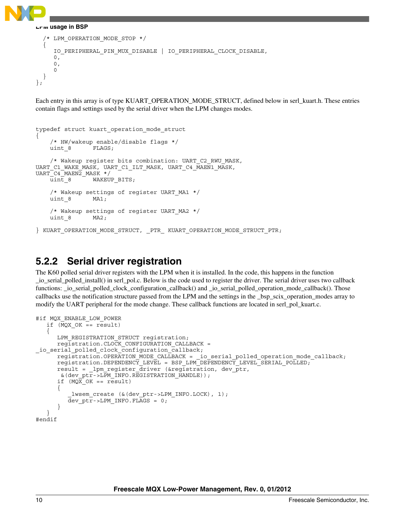

**LPM usage in BSP**

```
 /* LPM_OPERATION_MODE_STOP */
 {
      IO_PERIPHERAL_PIN_MUX_DISABLE | IO_PERIPHERAL_CLOCK_DISABLE,
     0,\Omega.
      0
   }
};
```
Each entry in this array is of type KUART\_OPERATION\_MODE\_STRUCT, defined below in serl\_kuart.h. These entries contain flags and settings used by the serial driver when the LPM changes modes.

```
typedef struct kuart_operation_mode_struct
{
     /* HW/wakeup enable/disable flags */
    uint 8 FLAGS;
     /* Wakeup register bits combination: UART_C2_RWU_MASK, 
UART_C1_WAKE_MASK, UART_C1_ILT_MASK, UART_C4_MAEN1_MASK, 
UARTC4<sup>MAEN2</sub> MASK */</sup>
    uint 8 WAKEUP BITS;
     /* Wakeup settings of register UART_MA1 */
     uint_8 MA1;
     /* Wakeup settings of register UART_MA2 */
     uint_8 MA2;
} KUART OPERATION MODE STRUCT, PTR KUART OPERATION MODE STRUCT PTR;
```
### **5.2.2 Serial driver registration**

The K60 polled serial driver registers with the LPM when it is installed. In the code, this happens in the function \_io\_serial\_polled\_install() in serl\_pol.c. Below is the code used to register the driver. The serial driver uses two callback functions: \_io\_serial\_polled\_clock\_configuration\_callback() and \_io\_serial\_polled\_operation\_mode\_callback(). Those callbacks use the notification structure passed from the LPM and the settings in the \_bsp\_scix\_operation\_modes array to modify the UART peripheral for the mode change. These callback functions are located in serl\_pol\_kuart.c.

```
#if MQX ENABLE LOW POWER
   if (MQX OK == result) {
     LPM_REGISTRATION_STRUCT_registration;
      registration.CLOCK_CONFIGURATION_CALLBACK = 
io serial polled clock configuration callback;
 registration.OPERATION_MODE_CALLBACK = _io_serial_polled_operation_mode_callback;
 registration.DEPENDENCY_LEVEL = BSP_LPM_DEPENDENCY_LEVEL_SERIAL_POLLED; 
     result = lpm register driver (&registration, dev ptr,
       &(dev_ptr->LPM_INFO.REGISTRATION_HANDLE));
      if (MQX_OK == result)
       {
         lwsem create (&(dev ptr->LPM INFO.LOCK), 1);
          dev_ptr->LPM_INFO.FLAGS = 0;
 }
 }
#endif
```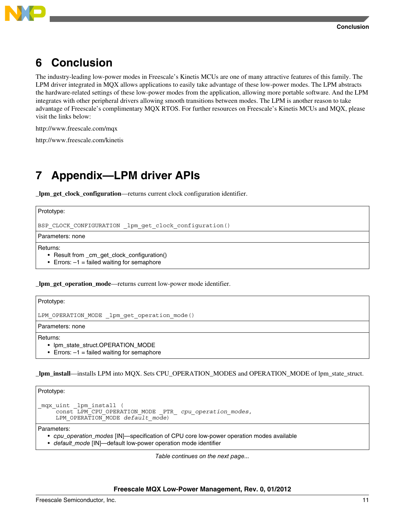

<span id="page-10-0"></span>

### **6 Conclusion**

The industry-leading low-power modes in Freescale's Kinetis MCUs are one of many attractive features of this family. The LPM driver integrated in MQX allows applications to easily take advantage of these low-power modes. The LPM abstracts the hardware-related settings of these low-power modes from the application, allowing more portable software. And the LPM integrates with other peripheral drivers allowing smooth transitions between modes. The LPM is another reason to take advantage of Freescale's complimentary MQX RTOS. For further resources on Freescale's Kinetis MCUs and MQX, please visit the links below:

http://www.freescale.com/mqx

http://www.freescale.com/kinetis

### **7 Appendix—LPM driver APIs**

**\_lpm\_get\_clock\_configuration**—returns current clock configuration identifier.

Prototype:

BSP\_CLOCK\_CONFIGURATION \_lpm\_get\_clock\_configuration()

Parameters: none

Returns:

- Result from \_cm\_get\_clock\_configuration()
- Errors:  $-1$  = failed waiting for semaphore

**\_lpm\_get\_operation\_mode**—returns current low-power mode identifier.

Prototype:

```
LPM_OPERATION_MODE lpm_get_operation_mode()
```
Parameters: none

Returns:

- lpm\_state\_struct.OPERATION\_MODE
- Errors:  $-1$  = failed waiting for semaphore

**\_lpm\_install**—installs LPM into MQX. Sets CPU\_OPERATION\_MODES and OPERATION\_MODE of lpm\_state\_struct.

Prototype:

```
_mqx_uint _lpm_install ( 
     const LPM_CPU_OPERATION_MODE _PTR_ cpu_operation_modes,
     LPM_OPERATION_MODE default_mode)
```
Parameters:

- *cpu\_operation\_modes* [IN]—specification of CPU core low-power operation modes available
- *default\_mode* [IN]—default low-power operation mode identifier

*Table continues on the next page...*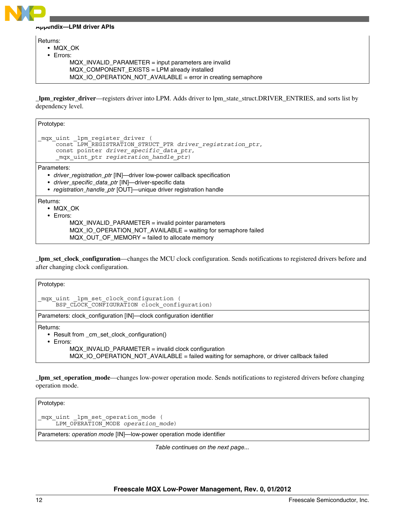#### **Appendix—LPM driver APIs**

Returns:

- MQX\_OK
- Errors:
	- MQX\_INVALID\_PARAMETER = input parameters are invalid
	- MQX\_COMPONENT\_EXISTS = LPM already installed
	- MQX\_IO\_OPERATION\_NOT\_AVAILABLE = error in creating semaphore

**\_lpm\_register\_driver**—registers driver into LPM. Adds driver to lpm\_state\_struct.DRIVER\_ENTRIES, and sorts list by dependency level.

Prototype:

```
_mqx_uint _lpm_register_driver (
     const LPM_REGISTRATION_STRUCT_PTR driver_registration_ptr,
     const pointer driver_specific_data_ptr,
     _mqx_uint_ptr registration_handle_ptr)
```
Parameters:

- *driver\_registration\_ptr* [IN]—driver low-power callback specification
- *driver\_specific\_data\_ptr* [IN]—driver-specific data
- *registration\_handle\_ptr* [OUT]—unique driver registration handle

Returns:

- MQX\_OK
- Errors:
	- MQX\_INVALID\_PARAMETER = invalid pointer parameters
	- MQX\_IO\_OPERATION\_NOT\_AVAILABLE = waiting for semaphore failed
	- MQX\_OUT\_OF\_MEMORY = failed to allocate memory

**\_lpm\_set\_clock\_configuration**—changes the MCU clock configuration. Sends notifications to registered drivers before and after changing clock configuration.

| Prototype:                                                                                                                                         |  |  |
|----------------------------------------------------------------------------------------------------------------------------------------------------|--|--|
| mqx uint lpm set clock configuration (<br>BSP CLOCK CONFIGURATION clock configuration)                                                             |  |  |
| Parameters: clock_configuration [IN]—clock configuration identifier                                                                                |  |  |
| Returns:<br>• Result from cm set clock configuration()<br>$\cdot$ Errors:                                                                          |  |  |
| $MQX$ _INVALID_PARAMETER = invalid clock configuration<br>MQX IO OPERATION NOT AVAILABLE = failed waiting for semaphore, or driver callback failed |  |  |

**lpm** set operation mode—changes low-power operation mode. Sends notifications to registered drivers before changing operation mode.

Prototype: mqx uint lpm set operation mode ( LPM\_OPERATION\_MODE *operation\_mode*) Parameters: *operation mode* [IN]—low-power operation mode identifier

*Table continues on the next page...*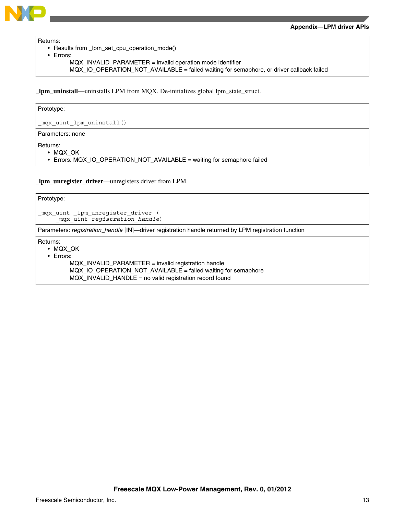

Returns:

- Results from \_lpm\_set\_cpu\_operation\_mode()
- Errors:
	- MQX\_INVALID\_PARAMETER = invalid operation mode identifier
	- MQX\_IO\_OPERATION\_NOT\_AVAILABLE = failed waiting for semaphore, or driver callback failed

**\_lpm\_uninstall**—uninstalls LPM from MQX. De-initializes global lpm\_state\_struct.

Prototype:

\_mqx\_uint\_lpm\_uninstall()

Parameters: none

Returns:

• MQX\_OK

• Errors: MQX\_IO\_OPERATION\_NOT\_AVAILABLE = waiting for semaphore failed

**\_lpm\_unregister\_driver**—unregisters driver from LPM.

| Prototype:                                                                                                                                                                                                                           |  |  |
|--------------------------------------------------------------------------------------------------------------------------------------------------------------------------------------------------------------------------------------|--|--|
| mqx_uint _lpm_unregister_driver (<br>mqx uint registration handle)                                                                                                                                                                   |  |  |
| Parameters: registration_handle [IN]—driver registration handle returned by LPM registration function                                                                                                                                |  |  |
| Returns:<br>$\bullet$ MQX OK<br>$\bullet$ Errors:<br>MQX_INVALID_PARAMETER = invalid registration handle<br>MQX_IO_OPERATION_NOT_AVAILABLE = failed waiting for semaphore<br>MQX_INVALID_HANDLE = no valid registration record found |  |  |